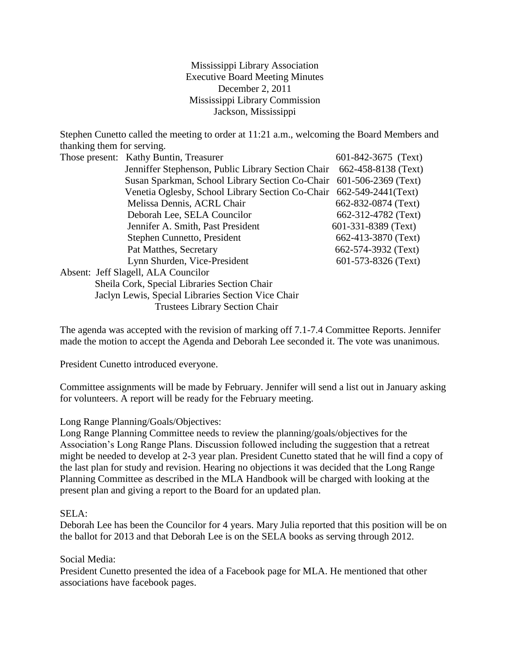Mississippi Library Association Executive Board Meeting Minutes December 2, 2011 Mississippi Library Commission Jackson, Mississippi

Stephen Cunetto called the meeting to order at 11:21 a.m., welcoming the Board Members and thanking them for serving.

| Those present: Kathy Buntin, Treasurer             | 601-842-3675 (Text)                                                                                                                                                                                                   |
|----------------------------------------------------|-----------------------------------------------------------------------------------------------------------------------------------------------------------------------------------------------------------------------|
|                                                    |                                                                                                                                                                                                                       |
|                                                    |                                                                                                                                                                                                                       |
|                                                    |                                                                                                                                                                                                                       |
| Melissa Dennis, ACRL Chair                         | 662-832-0874 (Text)                                                                                                                                                                                                   |
| Deborah Lee, SELA Councilor                        | 662-312-4782 (Text)                                                                                                                                                                                                   |
| Jennifer A. Smith, Past President                  | 601-331-8389 (Text)                                                                                                                                                                                                   |
| Stephen Cunnetto, President                        | 662-413-3870 (Text)                                                                                                                                                                                                   |
| Pat Matthes, Secretary                             | 662-574-3932 (Text)                                                                                                                                                                                                   |
| Lynn Shurden, Vice-President                       | 601-573-8326 (Text)                                                                                                                                                                                                   |
| Absent: Jeff Slagell, ALA Councilor                |                                                                                                                                                                                                                       |
| Sheila Cork, Special Libraries Section Chair       |                                                                                                                                                                                                                       |
| Jaclyn Lewis, Special Libraries Section Vice Chair |                                                                                                                                                                                                                       |
|                                                    | Jenniffer Stephenson, Public Library Section Chair 662-458-8138 (Text)<br>Susan Sparkman, School Library Section Co-Chair 601-506-2369 (Text)<br>Venetia Oglesby, School Library Section Co-Chair 662-549-2441 (Text) |

Trustees Library Section Chair

The agenda was accepted with the revision of marking off 7.1-7.4 Committee Reports. Jennifer made the motion to accept the Agenda and Deborah Lee seconded it. The vote was unanimous.

President Cunetto introduced everyone.

Committee assignments will be made by February. Jennifer will send a list out in January asking for volunteers. A report will be ready for the February meeting.

## Long Range Planning/Goals/Objectives:

Long Range Planning Committee needs to review the planning/goals/objectives for the Association's Long Range Plans. Discussion followed including the suggestion that a retreat might be needed to develop at 2-3 year plan. President Cunetto stated that he will find a copy of the last plan for study and revision. Hearing no objections it was decided that the Long Range Planning Committee as described in the MLA Handbook will be charged with looking at the present plan and giving a report to the Board for an updated plan.

## SELA:

Deborah Lee has been the Councilor for 4 years. Mary Julia reported that this position will be on the ballot for 2013 and that Deborah Lee is on the SELA books as serving through 2012.

## Social Media:

President Cunetto presented the idea of a Facebook page for MLA. He mentioned that other associations have facebook pages.